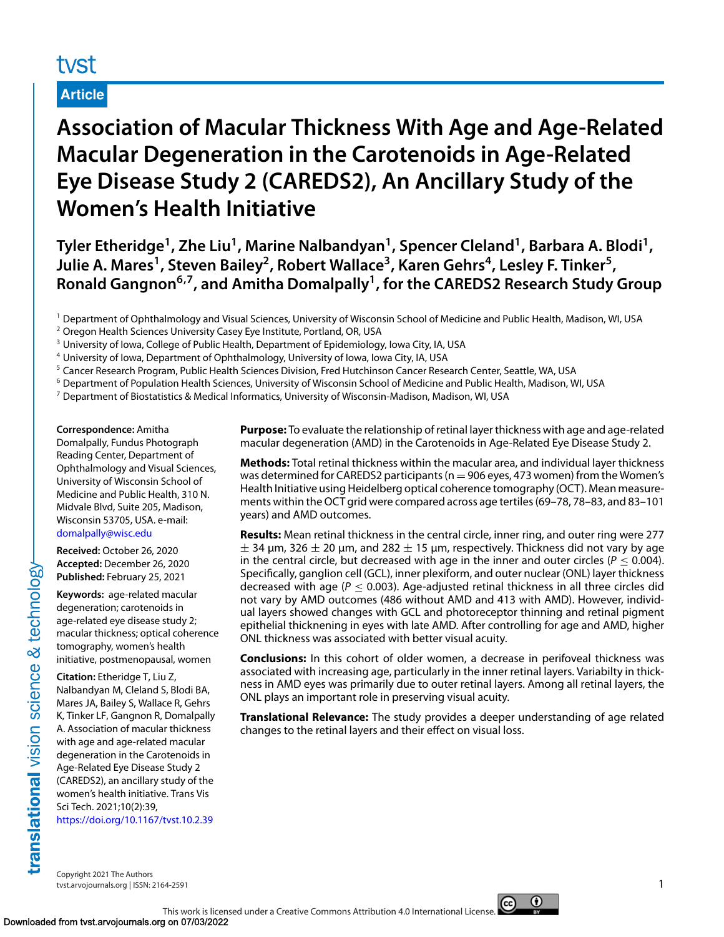# tyst

# **Article**

# **Association of Macular Thickness With Age and Age-Related Macular Degeneration in the Carotenoids in Age-Related Eye Disease Study 2 (CAREDS2), An Ancillary Study of the Women's Health Initiative**

**Tyler Etheridge1, Zhe Liu1, Marine Nalbandyan1, Spencer Cleland1, Barbara A. Blodi1,** Julie A. Mares<sup>1</sup>, Steven Bailey<sup>2</sup>, Robert Wallace<sup>3</sup>, Karen Gehrs<sup>4</sup>, Lesley F. Tinker<sup>5</sup>, **Ronald Gangnon6,7, and Amitha Domalpally1, for the CAREDS2 Research Study Group**

- <sup>1</sup> Department of Ophthalmology and Visual Sciences, University of Wisconsin School of Medicine and Public Health, Madison, WI, USA
- <sup>2</sup> Oregon Health Sciences University Casey Eye Institute, Portland, OR, USA
- <sup>3</sup> University of Iowa, College of Public Health, Department of Epidemiology, Iowa City, IA, USA
- <sup>4</sup> University of Iowa, Department of Ophthalmology, University of Iowa, Iowa City, IA, USA
- <sup>5</sup> Cancer Research Program, Public Health Sciences Division, Fred Hutchinson Cancer Research Center, Seattle, WA, USA
- <sup>6</sup> Department of Population Health Sciences, University of Wisconsin School of Medicine and Public Health, Madison, WI, USA
- $^7$  Department of Biostatistics & Medical Informatics, University of Wisconsin-Madison, Madison, WI, USA

**Correspondence:** Amitha Domalpally, Fundus Photograph Reading Center, Department of Ophthalmology and Visual Sciences, University of Wisconsin School of Medicine and Public Health, 310 N. Midvale Blvd, Suite 205, Madison, Wisconsin 53705, USA. e-mail: [domalpally@wisc.edu](mailto:domalpally@wisc.edu)

**Received:** October 26, 2020 **Accepted:** December 26, 2020 **Published:** February 25, 2021

**Keywords:** age-related macular degeneration; carotenoids in age-related eye disease study 2; macular thickness; optical coherence tomography, women's health initiative, postmenopausal, women

**Citation:** Etheridge T, Liu Z, Nalbandyan M, Cleland S, Blodi BA, Mares JA, Bailey S, Wallace R, Gehrs K, Tinker LF, Gangnon R, Domalpally A. Association of macular thickness with age and age-related macular degeneration in the Carotenoids in Age-Related Eye Disease Study 2 (CAREDS2), an ancillary study of the women's health initiative. Trans Vis Sci Tech. 2021;10(2):39, <https://doi.org/10.1167/tvst.10.2.39>

**Purpose:** To evaluate the relationship of retinal layer thickness with age and age-related macular degeneration (AMD) in the Carotenoids in Age-Related Eye Disease Study 2.

**Methods:** Total retinal thickness within the macular area, and individual layer thickness was determined for CAREDS2 participants ( $n = 906$  eyes, 473 women) from the Women's Health Initiative using Heidelberg optical coherence tomography (OCT). Mean measurements within the OCT grid were compared across age tertiles (69–78, 78–83, and 83–101 years) and AMD outcomes.

**Results:** Mean retinal thickness in the central circle, inner ring, and outer ring were 277  $\pm$  34 μm, 326  $\pm$  20 μm, and 282  $\pm$  15 μm, respectively. Thickness did not vary by age in the central circle, but decreased with age in the inner and outer circles ( $P \le 0.004$ ). Specifically, ganglion cell (GCL), inner plexiform, and outer nuclear (ONL) layer thickness decreased with age ( $P \le 0.003$ ). Age-adjusted retinal thickness in all three circles did not vary by AMD outcomes (486 without AMD and 413 with AMD). However, individual layers showed changes with GCL and photoreceptor thinning and retinal pigment epithelial thicknening in eyes with late AMD. After controlling for age and AMD, higher ONL thickness was associated with better visual acuity.

**Conclusions:** In this cohort of older women, a decrease in perifoveal thickness was associated with increasing age, particularly in the inner retinal layers. Variabilty in thickness in AMD eyes was primarily due to outer retinal layers. Among all retinal layers, the ONL plays an important role in preserving visual acuity.

**Translational Relevance:** The study provides a deeper understanding of age related changes to the retinal layers and their effect on visual loss.

Copyright 2021 The Authors tvst.arvojournals.org | ISSN: 2164-2591 1



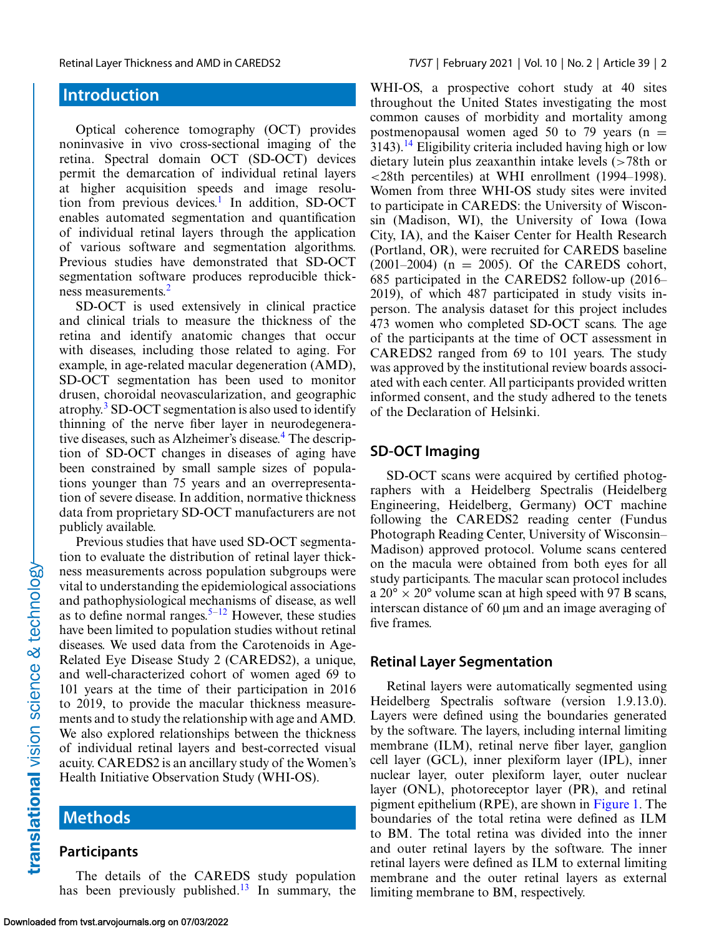# **Introduction**

Optical coherence tomography (OCT) provides noninvasive in vivo cross-sectional imaging of the retina. Spectral domain OCT (SD-OCT) devices permit the demarcation of individual retinal layers at higher acquisition speeds and image resolution from previous devices.<sup>1</sup> In addition, SD-OCT enables automated segmentation and quantification of individual retinal layers through the application of various software and segmentation algorithms. Previous studies have demonstrated that SD-OCT segmentation software produces reproducible thickness measurements[.2](#page-11-0)

SD-OCT is used extensively in clinical practice and clinical trials to measure the thickness of the retina and identify anatomic changes that occur with diseases, including those related to aging. For example, in age-related macular degeneration (AMD), SD-OCT segmentation has been used to monitor drusen, choroidal neovascularization, and geographic atrophy[.3](#page-11-0) SD-OCT segmentation is also used to identify thinning of the nerve fiber layer in neurodegenera-tive diseases, such as Alzheimer's disease.<sup>[4](#page-11-0)</sup> The description of SD-OCT changes in diseases of aging have been constrained by small sample sizes of populations younger than 75 years and an overrepresentation of severe disease. In addition, normative thickness data from proprietary SD-OCT manufacturers are not publicly available.

Previous studies that have used SD-OCT segmentation to evaluate the distribution of retinal layer thickness measurements across population subgroups were vital to understanding the epidemiological associations and pathophysiological mechanisms of disease, as well as to define normal ranges.<sup>[5–](#page-11-0)[12](#page-12-0)</sup> However, these studies have been limited to population studies without retinal diseases. We used data from the Carotenoids in Age-Related Eye Disease Study 2 (CAREDS2), a unique, and well-characterized cohort of women aged 69 to 101 years at the time of their participation in 2016 to 2019, to provide the macular thickness measurements and to study the relationship with age and AMD. We also explored relationships between the thickness of individual retinal layers and best-corrected visual acuity. CAREDS2 is an ancillary study of the Women's Health Initiative Observation Study (WHI-OS).

# **Methods**

## **Participants**

The details of the CAREDS study population has been previously published.<sup>[13](#page-12-0)</sup> In summary, the WHI-OS, a prospective cohort study at 40 sites throughout the United States investigating the most common causes of morbidity and mortality among postmenopausal women aged 50 to 79 years ( $n =$  $3143$  $3143$  $3143$ ).<sup>14</sup> Eligibility criteria included having high or low dietary lutein plus zeaxanthin intake levels (>78th or <28th percentiles) at WHI enrollment (1994–1998). Women from three WHI-OS study sites were invited to participate in CAREDS: the University of Wisconsin (Madison, WI), the University of Iowa (Iowa City, IA), and the Kaiser Center for Health Research (Portland, OR), were recruited for CAREDS baseline  $(2001-2004)$  (n = 2005). Of the CAREDS cohort, 685 participated in the CAREDS2 follow-up (2016– 2019), of which 487 participated in study visits inperson. The analysis dataset for this project includes 473 women who completed SD-OCT scans. The age of the participants at the time of OCT assessment in CAREDS2 ranged from 69 to 101 years. The study was approved by the institutional review boards associated with each center. All participants provided written informed consent, and the study adhered to the tenets of the Declaration of Helsinki.

#### **SD-OCT Imaging**

SD-OCT scans were acquired by certified photographers with a Heidelberg Spectralis (Heidelberg Engineering, Heidelberg, Germany) OCT machine following the CAREDS2 reading center (Fundus Photograph Reading Center, University of Wisconsin– Madison) approved protocol. Volume scans centered on the macula were obtained from both eyes for all study participants. The macular scan protocol includes  $a 20^{\circ} \times 20^{\circ}$  volume scan at high speed with 97 B scans, interscan distance of 60 μm and an image averaging of five frames.

#### **Retinal Layer Segmentation**

Retinal layers were automatically segmented using Heidelberg Spectralis software (version 1.9.13.0). Layers were defined using the boundaries generated by the software. The layers, including internal limiting membrane (ILM), retinal nerve fiber layer, ganglion cell layer (GCL), inner plexiform layer (IPL), inner nuclear layer, outer plexiform layer, outer nuclear layer (ONL), photoreceptor layer (PR), and retinal pigment epithelium (RPE), are shown in [Figure 1.](#page-2-0) The boundaries of the total retina were defined as ILM to BM. The total retina was divided into the inner and outer retinal layers by the software. The inner retinal layers were defined as ILM to external limiting membrane and the outer retinal layers as external limiting membrane to BM, respectively.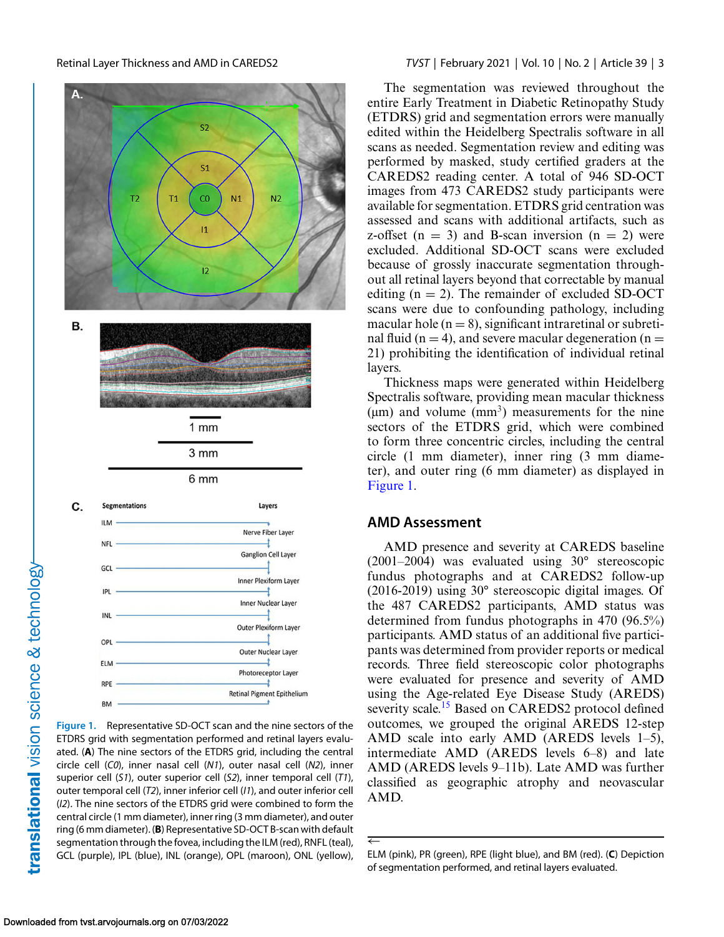

**Figure 1.** Representative SD-OCT scan and the nine sectors of the ETDRS grid with segmentation performed and retinal layers evaluated. (**A**) The nine sectors of the ETDRS grid, including the central circle cell (*C0*), inner nasal cell (*N1*), outer nasal cell (*N2*), inner superior cell (*S1*), outer superior cell (*S2*), inner temporal cell (*T1*), outer temporal cell (*T2*), inner inferior cell (*I1*), and outer inferior cell (*I2*). The nine sectors of the ETDRS grid were combined to form the central circle (1 mm diameter), inner ring (3 mm diameter), and outer ring (6 mm diameter). (**B**) Representative SD-OCT B-scan with default segmentation through the fovea, including the ILM (red), RNFL (teal), GCL (purple), IPL (blue), INL (orange), OPL (maroon), ONL (yellow),

#### <span id="page-2-0"></span>Retinal Layer Thickness and AMD in CAREDS2 *TVST* | February 2021 | Vol. 10 | No. 2 | Article 39 | 3

The segmentation was reviewed throughout the entire Early Treatment in Diabetic Retinopathy Study (ETDRS) grid and segmentation errors were manually edited within the Heidelberg Spectralis software in all scans as needed. Segmentation review and editing was performed by masked, study certified graders at the CAREDS2 reading center. A total of 946 SD-OCT images from 473 CAREDS2 study participants were available for segmentation. ETDRS grid centration was assessed and scans with additional artifacts, such as z-offset  $(n = 3)$  and B-scan inversion  $(n = 2)$  were excluded. Additional SD-OCT scans were excluded because of grossly inaccurate segmentation throughout all retinal layers beyond that correctable by manual editing  $(n = 2)$ . The remainder of excluded SD-OCT scans were due to confounding pathology, including macular hole  $(n = 8)$ , significant intraretinal or subretinal fluid (n = 4), and severe macular degeneration (n = 21) prohibiting the identification of individual retinal layers.

Thickness maps were generated within Heidelberg Spectralis software, providing mean macular thickness  $(\mu m)$  and volume  $(mm<sup>3</sup>)$  measurements for the nine sectors of the ETDRS grid, which were combined to form three concentric circles, including the central circle (1 mm diameter), inner ring (3 mm diameter), and outer ring (6 mm diameter) as displayed in Figure 1.

#### **AMD Assessment**

AMD presence and severity at CAREDS baseline (2001–2004) was evaluated using 30° stereoscopic fundus photographs and at CAREDS2 follow-up (2016-2019) using 30° stereoscopic digital images. Of the 487 CAREDS2 participants, AMD status was determined from fundus photographs in 470 (96.5%) participants. AMD status of an additional five participants was determined from provider reports or medical records. Three field stereoscopic color photographs were evaluated for presence and severity of AMD using the Age-related Eye Disease Study (AREDS) severity scale.<sup>15</sup> Based on CAREDS2 protocol defined outcomes, we grouped the original AREDS 12-step AMD scale into early AMD (AREDS levels 1–5), intermediate AMD (AREDS levels 6–8) and late AMD (AREDS levels 9–11b). Late AMD was further classified as geographic atrophy and neovascular AMD.

<sup>←</sup> ELM (pink), PR (green), RPE (light blue), and BM (red). (**C**) Depiction of segmentation performed, and retinal layers evaluated.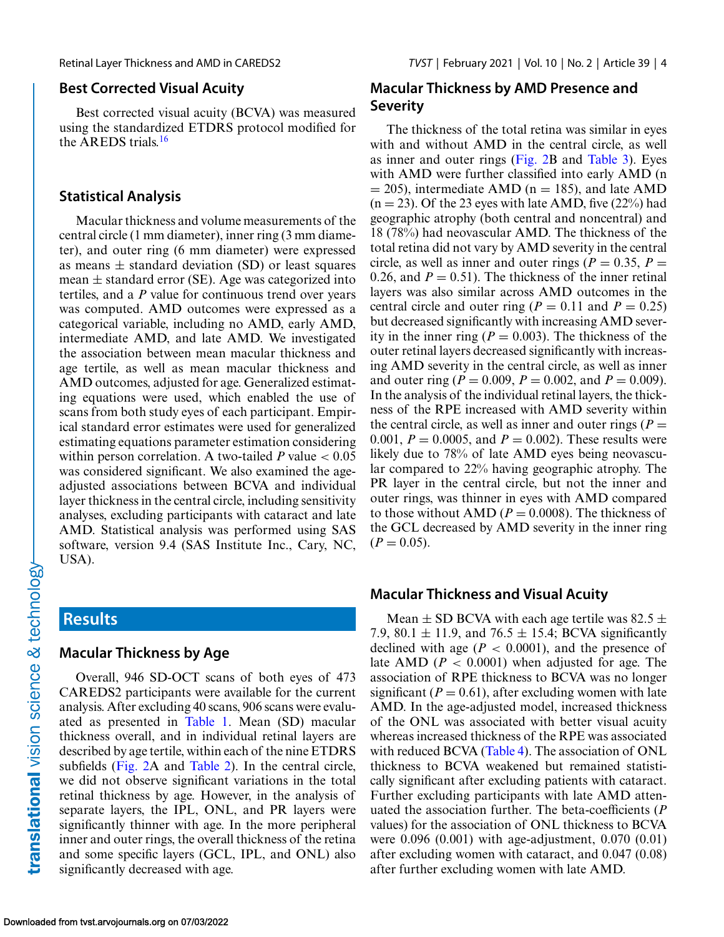#### **Best Corrected Visual Acuity**

Best corrected visual acuity (BCVA) was measured using the standardized ETDRS protocol modified for the AREDS trials.[16](#page-12-0)

#### **Statistical Analysis**

Macular thickness and volume measurements of the central circle (1 mm diameter), inner ring (3 mm diameter), and outer ring (6 mm diameter) were expressed as means  $\pm$  standard deviation (SD) or least squares mean  $\pm$  standard error (SE). Age was categorized into tertiles, and a *P* value for continuous trend over years was computed. AMD outcomes were expressed as a categorical variable, including no AMD, early AMD, intermediate AMD, and late AMD. We investigated the association between mean macular thickness and age tertile, as well as mean macular thickness and AMD outcomes, adjusted for age. Generalized estimating equations were used, which enabled the use of scans from both study eyes of each participant. Empirical standard error estimates were used for generalized estimating equations parameter estimation considering within person correlation. A two-tailed  $P$  value  $< 0.05$ was considered significant. We also examined the ageadjusted associations between BCVA and individual layer thickness in the central circle, including sensitivity analyses, excluding participants with cataract and late AMD. Statistical analysis was performed using SAS software, version 9.4 (SAS Institute Inc., Cary, NC, USA).

# **Results**

#### **Macular Thickness by Age**

Overall, 946 SD-OCT scans of both eyes of 473 CAREDS2 participants were available for the current analysis. After excluding 40 scans, 906 scans were evaluated as presented in [Table 1.](#page-4-0) Mean (SD) macular thickness overall, and in individual retinal layers are described by age tertile, within each of the nine ETDRS subfields [\(Fig. 2A](#page-5-0) and [Table 2\)](#page-6-0). In the central circle, we did not observe significant variations in the total retinal thickness by age. However, in the analysis of separate layers, the IPL, ONL, and PR layers were significantly thinner with age. In the more peripheral inner and outer rings, the overall thickness of the retina and some specific layers (GCL, IPL, and ONL) also significantly decreased with age.

### **Macular Thickness by AMD Presence and Severity**

The thickness of the total retina was similar in eyes with and without AMD in the central circle, as well as inner and outer rings [\(Fig. 2B](#page-5-0) and [Table 3\)](#page-8-0). Eyes with AMD were further classified into early AMD (n  $= 205$ ), intermediate AMD (n  $= 185$ ), and late AMD  $(n = 23)$ . Of the 23 eyes with late AMD, five  $(22\%)$  had geographic atrophy (both central and noncentral) and 18 (78%) had neovascular AMD. The thickness of the total retina did not vary by AMD severity in the central circle, as well as inner and outer rings ( $P = 0.35$ ,  $P =$ 0.26, and  $P = 0.51$ ). The thickness of the inner retinal layers was also similar across AMD outcomes in the central circle and outer ring ( $P = 0.11$  and  $P = 0.25$ ) but decreased significantly with increasing AMD severity in the inner ring ( $P = 0.003$ ). The thickness of the outer retinal layers decreased significantly with increasing AMD severity in the central circle, as well as inner and outer ring ( $P = 0.009$ ,  $P = 0.002$ , and  $P = 0.009$ ). In the analysis of the individual retinal layers, the thickness of the RPE increased with AMD severity within the central circle, as well as inner and outer rings  $(P =$ 0.001,  $P = 0.0005$ , and  $P = 0.002$ ). These results were likely due to 78% of late AMD eyes being neovascular compared to 22% having geographic atrophy. The PR layer in the central circle, but not the inner and outer rings, was thinner in eyes with AMD compared to those without AMD ( $P = 0.0008$ ). The thickness of the GCL decreased by AMD severity in the inner ring  $(P = 0.05)$ .

#### **Macular Thickness and Visual Acuity**

Mean  $\pm$  SD BCVA with each age tertile was 82.5  $\pm$ 7.9, 80.1  $\pm$  11.9, and 76.5  $\pm$  15.4; BCVA significantly declined with age  $(P < 0.0001)$ , and the presence of late AMD ( $P < 0.0001$ ) when adjusted for age. The association of RPE thickness to BCVA was no longer significant ( $P = 0.61$ ), after excluding women with late AMD. In the age-adjusted model, increased thickness of the ONL was associated with better visual acuity whereas increased thickness of the RPE was associated with reduced BCVA [\(Table 4\)](#page-10-0). The association of ONL thickness to BCVA weakened but remained statistically significant after excluding patients with cataract. Further excluding participants with late AMD attenuated the association further. The beta-coefficients (*P* values) for the association of ONL thickness to BCVA were 0.096 (0.001) with age-adjustment, 0.070 (0.01) after excluding women with cataract, and 0.047 (0.08) after further excluding women with late AMD.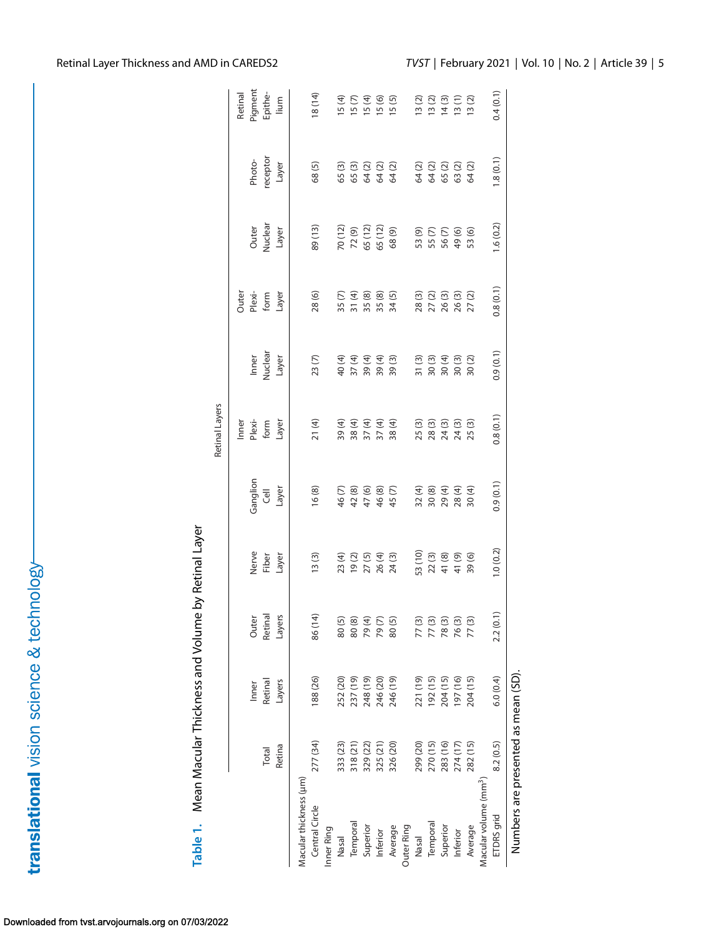<span id="page-4-0"></span>

| Table 1. Mean Macular Thickness and Volume by Retinal Layer |                                     |          |                  |                                                 |                            |                                      |                                                                                  |                                                          |                                         |                                              |                                                          |
|-------------------------------------------------------------|-------------------------------------|----------|------------------|-------------------------------------------------|----------------------------|--------------------------------------|----------------------------------------------------------------------------------|----------------------------------------------------------|-----------------------------------------|----------------------------------------------|----------------------------------------------------------|
|                                                             |                                     |          |                  |                                                 |                            | Retinal Layers                       |                                                                                  |                                                          |                                         |                                              |                                                          |
|                                                             |                                     |          |                  |                                                 |                            | Inner                                |                                                                                  | Outer                                                    |                                         |                                              | Retinal                                                  |
|                                                             |                                     | Inner    |                  |                                                 | Ganglion                   |                                      | Inner                                                                            |                                                          | Outer                                   | Photo-                                       | Pigment                                                  |
|                                                             | Total                               | Retinal  | Outer<br>Retinal | Nerve<br>Fiber                                  | Cell                       | Plexi-<br>form                       | Nuclear                                                                          | Plexi-<br>form                                           | Nuclear                                 | receptor                                     | Epithe-                                                  |
|                                                             | Retina                              | Layers   | Layers           | Layer                                           | Layer                      | Layer                                | Layer                                                                            | Layer                                                    | Layer                                   | Layer                                        | lium                                                     |
| Macular thickness (µm)                                      |                                     |          |                  |                                                 |                            |                                      |                                                                                  |                                                          |                                         |                                              |                                                          |
| Central Circle                                              | 277 (34)                            | 188 (26) | 86 (14)          | 13(3)                                           | 16(8)                      | 21(4)                                | 23(7)                                                                            | 28 (6)                                                   | 89(13)                                  | 68(5)                                        | 18 (14)                                                  |
| Inner Ring                                                  |                                     |          |                  |                                                 |                            |                                      |                                                                                  |                                                          |                                         |                                              |                                                          |
| Nasal                                                       | 333 (23)                            | 252 (20) |                  |                                                 |                            |                                      |                                                                                  |                                                          |                                         |                                              |                                                          |
| Temporal                                                    | 318 (21)                            | 237 (19) |                  |                                                 | 46 (7)<br>42 (8)           |                                      |                                                                                  | $35 (7)$<br>$37 (4)$<br>$35 (8)$<br>$35 (5)$<br>$34 (5)$ | 70 (12)<br>72 (9)<br>65 (12)<br>65 (12) |                                              | $15 (7)$<br>$15 (4)$<br>$15 (6)$<br>$15 (5)$<br>$15 (5)$ |
| Superior                                                    | 329 (22)                            | 248 (19) |                  |                                                 | 47(6)                      |                                      |                                                                                  |                                                          |                                         |                                              |                                                          |
| Inferior                                                    | 325 (21)                            | 246 (20) |                  |                                                 |                            |                                      |                                                                                  |                                                          |                                         |                                              |                                                          |
| Average                                                     | 326 (20)                            | 246 (19) | 80(5)            |                                                 | 46 (8)<br>45 (7)           | 39 (4)<br>38 (4)<br>37 (4)<br>38 (4) | $40$<br>$37$<br>$37$<br>$4$<br>$39$<br>$4$<br>$4$<br>$5$<br>$39$<br>$39$<br>$39$ |                                                          | 68(9)                                   | $65$ (3)<br>$65$ (3)<br>$64$ (2)<br>$64$ (2) |                                                          |
| Outer Ring                                                  |                                     |          |                  |                                                 |                            |                                      |                                                                                  |                                                          |                                         |                                              |                                                          |
| Nasal                                                       | 299 (20)                            | 221 (19) | 77(3)            |                                                 |                            |                                      |                                                                                  |                                                          |                                         |                                              |                                                          |
| Temporal                                                    | 270 (15)                            | 192 (15) | 77 (3)<br>78 (3) | 53 (10)<br>22 (3)<br>41 (8)<br>41 (9)<br>39 (6) | $78998$<br>$7898$<br>$788$ |                                      |                                                                                  |                                                          |                                         |                                              |                                                          |
| Superior                                                    | 283 (16)                            | 204 (15) |                  |                                                 |                            |                                      |                                                                                  |                                                          |                                         |                                              |                                                          |
| Inferior                                                    | 274 (17)                            | 197 (16) | 76(3)            |                                                 |                            |                                      |                                                                                  |                                                          |                                         |                                              |                                                          |
| Average                                                     | 282 (15)                            | 204 (15) | 77(3)            |                                                 | 30 (4)                     |                                      |                                                                                  |                                                          | 53 (6)                                  |                                              |                                                          |
| Macular volume (mm <sup>3</sup> )                           |                                     |          |                  |                                                 |                            |                                      |                                                                                  |                                                          |                                         |                                              |                                                          |
| ETDRS grid                                                  | 8.2(0.5)                            | 6.0(0.4) | 2.2(0.1)         | 1.0(0.2)                                        | 0.9(0.1)                   | 0.8(0.1)                             | 0.9(0.1)                                                                         | 0.8(0.1)                                                 | 1.6(0.2)                                | 1.8(0.1)                                     | 0.4(0.1)                                                 |
|                                                             | Numbers are presented as mean (SD). |          |                  |                                                 |                            |                                      |                                                                                  |                                                          |                                         |                                              |                                                          |

translational vision science & technology-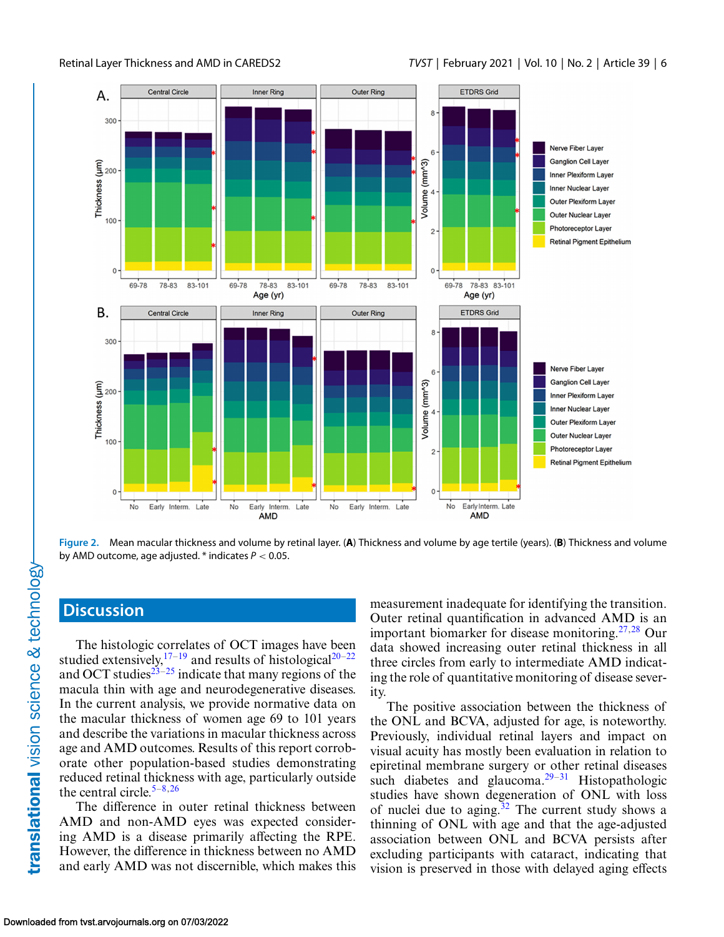<span id="page-5-0"></span>

**Figure 2.** Mean macular thickness and volume by retinal layer. (**A**) Thickness and volume by age tertile (years). (**B**) Thickness and volume by AMD outcome, age adjusted. \* indicates *P* < 0.05.

# **Discussion**

The histologic correlates of OCT images have been studied extensively,  $17-19$  and results of histological  $20-22$ and OCT studies $23-25$  indicate that many regions of the macula thin with age and neurodegenerative diseases. In the current analysis, we provide normative data on the macular thickness of women age 69 to 101 years and describe the variations in macular thickness across age and AMD outcomes. Results of this report corroborate other population-based studies demonstrating reduced retinal thickness with age, particularly outside the central circle. $5-8,26$  $5-8,26$ 

The difference in outer retinal thickness between AMD and non-AMD eyes was expected considering AMD is a disease primarily affecting the RPE. However, the difference in thickness between no AMD and early AMD was not discernible, which makes this measurement inadequate for identifying the transition. Outer retinal quantification in advanced AMD is an important biomarker for disease monitoring.<sup>[27,28](#page-12-0)</sup> Our data showed increasing outer retinal thickness in all three circles from early to intermediate AMD indicating the role of quantitative monitoring of disease severity.

The positive association between the thickness of the ONL and BCVA, adjusted for age, is noteworthy. Previously, individual retinal layers and impact on visual acuity has mostly been evaluation in relation to epiretinal membrane surgery or other retinal diseases such diabetes and glaucoma.<sup>[29–31](#page-12-0)</sup> Histopathologic studies have shown degeneration of ONL with loss of nuclei due to aging.<sup>32</sup> The current study shows a thinning of ONL with age and that the age-adjusted association between ONL and BCVA persists after excluding participants with cataract, indicating that vision is preserved in those with delayed aging effects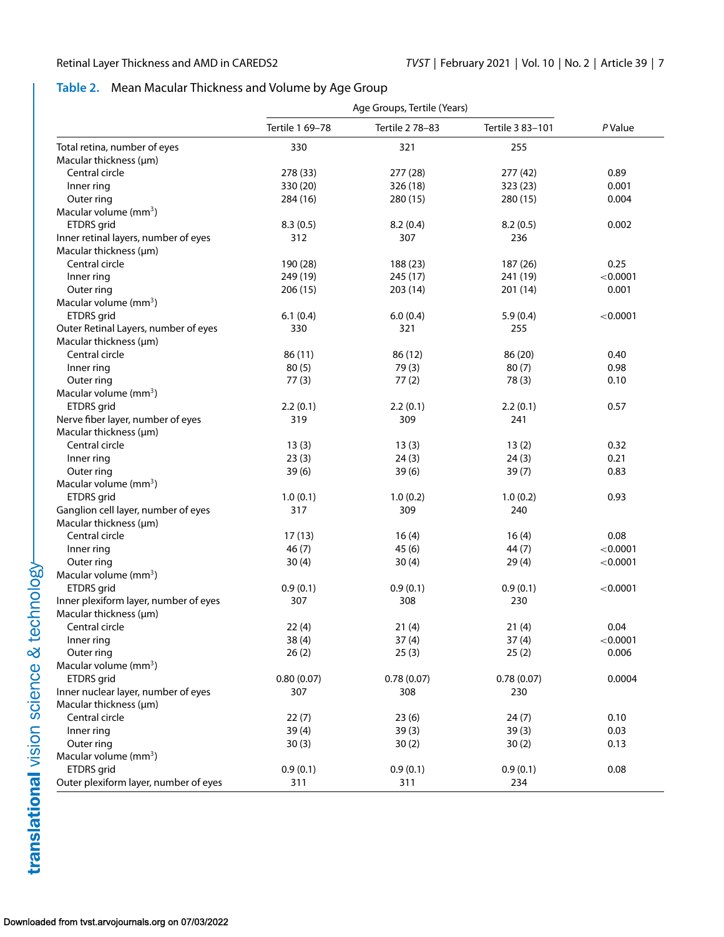### <span id="page-6-0"></span>**Table 2.** Mean Macular Thickness and Volume by Age Group

|                                                   |                   | Age Groups, Tertile (Years) |                   |          |
|---------------------------------------------------|-------------------|-----------------------------|-------------------|----------|
|                                                   | Tertile 1 69-78   | Tertile 2 78-83             | Tertile 3 83-101  | P Value  |
| Total retina, number of eyes                      | 330               | 321                         | 255               |          |
| Macular thickness (µm)                            |                   |                             |                   |          |
| Central circle                                    | 278 (33)          | 277 (28)                    | 277 (42)          | 0.89     |
| Inner ring                                        | 330 (20)          | 326 (18)                    | 323 (23)          | 0.001    |
| Outer ring                                        | 284 (16)          | 280 (15)                    | 280 (15)          | 0.004    |
| Macular volume $(mm3)$                            |                   |                             |                   |          |
| ETDRS grid                                        | 8.3(0.5)          | 8.2(0.4)                    | 8.2(0.5)          | 0.002    |
| Inner retinal layers, number of eyes              | 312               | 307                         | 236               |          |
| Macular thickness (µm)                            |                   |                             |                   |          |
| Central circle                                    | 190 (28)          | 188 (23)                    | 187 (26)          | 0.25     |
| Inner ring                                        | 249 (19)          | 245 (17)                    | 241 (19)          | < 0.0001 |
| Outer ring                                        | 206 (15)          | 203 (14)                    | 201 (14)          | 0.001    |
| Macular volume (mm <sup>3</sup> )                 |                   |                             |                   |          |
| ETDRS grid                                        | 6.1(0.4)          | 6.0(0.4)                    | 5.9(0.4)          | < 0.0001 |
| Outer Retinal Layers, number of eyes              | 330               | 321                         | 255               |          |
| Macular thickness (µm)                            |                   |                             |                   |          |
| Central circle                                    | 86 (11)           | 86 (12)                     | 86 (20)           | 0.40     |
| Inner ring                                        | 80(5)             | 79(3)                       | 80(7)             | 0.98     |
| Outer ring                                        | 77(3)             | 77(2)                       | 78(3)             | 0.10     |
| Macular volume $(mm3)$                            |                   |                             |                   |          |
| ETDRS grid                                        | 2.2(0.1)          | 2.2(0.1)                    | 2.2(0.1)          | 0.57     |
| Nerve fiber layer, number of eyes                 | 319               | 309                         | 241               |          |
| Macular thickness (µm)                            |                   |                             |                   |          |
| Central circle                                    | 13(3)             | 13(3)                       | 13(2)             | 0.32     |
| Inner ring                                        | 23(3)             | 24(3)                       | 24(3)             | 0.21     |
| Outer ring                                        | 39(6)             | 39(6)                       | 39(7)             | 0.83     |
| Macular volume (mm <sup>3</sup> )                 |                   |                             |                   |          |
| ETDRS grid                                        | 1.0(0.1)          | 1.0(0.2)                    | 1.0(0.2)          | 0.93     |
| Ganglion cell layer, number of eyes               | 317               | 309                         | 240               |          |
| Macular thickness (µm)                            |                   |                             |                   |          |
| Central circle                                    | 17(13)            | 16(4)                       | 16(4)             | 0.08     |
| Inner ring                                        | 46(7)             | 45(6)                       | 44 (7)            | < 0.0001 |
| Outer ring                                        | 30(4)             | 30(4)                       | 29(4)             | < 0.0001 |
| Macular volume $(mm3)$                            |                   |                             |                   |          |
| ETDRS grid                                        | 0.9(0.1)          | 0.9(0.1)                    | 0.9(0.1)          | < 0.0001 |
| Inner plexiform layer, number of eyes             | 307               | 308                         | 230               |          |
| Macular thickness (µm)                            |                   |                             |                   |          |
| Central circle                                    | 22(4)             |                             |                   | 0.04     |
|                                                   | 38(4)             | 21(4)<br>37(4)              | 21(4)             | < 0.0001 |
| Inner ring<br>Outer ring                          | 26(2)             |                             | 37(4)             | 0.006    |
| Macular volume (mm <sup>3</sup> )                 |                   | 25(3)                       | 25(2)             |          |
|                                                   |                   |                             |                   | 0.0004   |
| ETDRS grid<br>Inner nuclear layer, number of eyes | 0.80(0.07)<br>307 | 0.78(0.07)<br>308           | 0.78(0.07)<br>230 |          |
|                                                   |                   |                             |                   |          |
| Macular thickness (µm)                            |                   |                             |                   |          |
| Central circle                                    | 22(7)             | 23(6)                       | 24(7)             | 0.10     |
| Inner ring                                        | 39(4)             | 39(3)                       | 39(3)             | 0.03     |
| Outer ring                                        | 30(3)             | 30(2)                       | 30(2)             | 0.13     |
| Macular volume (mm <sup>3</sup> )                 |                   |                             |                   |          |
| ETDRS grid                                        | 0.9(0.1)          | 0.9(0.1)                    | 0.9(0.1)          | 0.08     |
| Outer plexiform layer, number of eyes             | 311               | 311                         | 234               |          |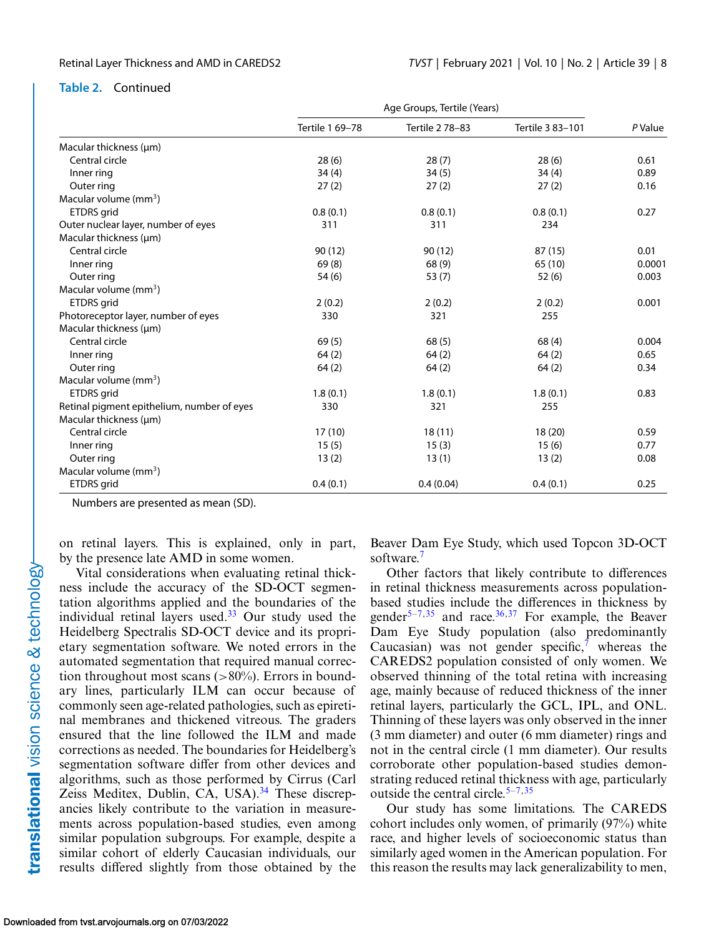#### **Table 2.** Continued

|                                            |                 | Age Groups, Tertile (Years) |                  |         |
|--------------------------------------------|-----------------|-----------------------------|------------------|---------|
|                                            | Tertile 1 69-78 | Tertile 2 78-83             | Tertile 3 83-101 | P Value |
| Macular thickness (µm)                     |                 |                             |                  |         |
| Central circle                             | 28(6)           | 28(7)                       | 28(6)            | 0.61    |
| Inner ring                                 | 34(4)           | 34(5)                       | 34(4)            | 0.89    |
| Outer ring                                 | 27(2)           | 27(2)                       | 27(2)            | 0.16    |
| Macular volume $(mm3)$                     |                 |                             |                  |         |
| <b>ETDRS</b> grid                          | 0.8(0.1)        | 0.8(0.1)                    | 0.8(0.1)         | 0.27    |
| Outer nuclear layer, number of eyes        | 311             | 311                         | 234              |         |
| Macular thickness (µm)                     |                 |                             |                  |         |
| Central circle                             | 90(12)          | 90(12)                      | 87(15)           | 0.01    |
| Inner ring                                 | 69(8)           | 68 (9)                      | 65 (10)          | 0.0001  |
| Outer ring                                 | 54(6)           | 53(7)                       | 52(6)            | 0.003   |
| Macular volume $\text{(mm}^3)$             |                 |                             |                  |         |
| ETDRS grid                                 | 2(0.2)          | 2(0.2)                      | 2(0.2)           | 0.001   |
| Photoreceptor layer, number of eyes        | 330             | 321                         | 255              |         |
| Macular thickness (µm)                     |                 |                             |                  |         |
| Central circle                             | 69(5)           | 68(5)                       | 68(4)            | 0.004   |
| Inner ring                                 | 64(2)           | 64(2)                       | 64(2)            | 0.65    |
| Outer ring                                 | 64(2)           | 64(2)                       | 64(2)            | 0.34    |
| Macular volume (mm <sup>3</sup> )          |                 |                             |                  |         |
| ETDRS grid                                 | 1.8(0.1)        | 1.8(0.1)                    | 1.8(0.1)         | 0.83    |
| Retinal pigment epithelium, number of eyes | 330             | 321                         | 255              |         |
| Macular thickness (um)                     |                 |                             |                  |         |
| Central circle                             | 17(10)          | 18(11)                      | 18(20)           | 0.59    |
| Inner ring                                 | 15(5)           | 15(3)                       | 15(6)            | 0.77    |
| Outer ring                                 | 13(2)           | 13(1)                       | 13(2)            | 0.08    |
| Macular volume $(mm3)$                     |                 |                             |                  |         |
| ETDRS grid                                 | 0.4(0.1)        | 0.4(0.04)                   | 0.4(0.1)         | 0.25    |

Numbers are presented as mean (SD).

on retinal layers. This is explained, only in part, by the presence late AMD in some women.

Vital considerations when evaluating retinal thickness include the accuracy of the SD-OCT segmentation algorithms applied and the boundaries of the individual retinal layers used. $33$  Our study used the Heidelberg Spectralis SD-OCT device and its proprietary segmentation software. We noted errors in the automated segmentation that required manual correction throughout most scans  $(>80\%)$ . Errors in boundary lines, particularly ILM can occur because of commonly seen age-related pathologies, such as epiretinal membranes and thickened vitreous. The graders ensured that the line followed the ILM and made corrections as needed. The boundaries for Heidelberg's segmentation software differ from other devices and algorithms, such as those performed by Cirrus (Carl Zeiss Meditex, Dublin, CA, USA).<sup>[34](#page-13-0)</sup> These discrepancies likely contribute to the variation in measurements across population-based studies, even among similar population subgroups. For example, despite a similar cohort of elderly Caucasian individuals, our results differed slightly from those obtained by the Beaver Dam Eye Study, which used Topcon 3D-OCT software.<sup>7</sup>

Other factors that likely contribute to differences in retinal thickness measurements across populationbased studies include the differences in thickness by gender<sup>5–7,[35](#page-13-0)</sup> and race.<sup>[36,37](#page-13-0)</sup> For example, the Beaver Dam Eye Study population (also predominantly Caucasian) was not gender specific, $\bar{y}$  whereas the CAREDS2 population consisted of only women. We observed thinning of the total retina with increasing age, mainly because of reduced thickness of the inner retinal layers, particularly the GCL, IPL, and ONL. Thinning of these layers was only observed in the inner (3 mm diameter) and outer (6 mm diameter) rings and not in the central circle (1 mm diameter). Our results corroborate other population-based studies demonstrating reduced retinal thickness with age, particularly outside the central circle. $5-7,35$  $5-7,35$ 

Our study has some limitations. The CAREDS cohort includes only women, of primarily (97%) white race, and higher levels of socioeconomic status than similarly aged women in the American population. For this reason the results may lack generalizability to men,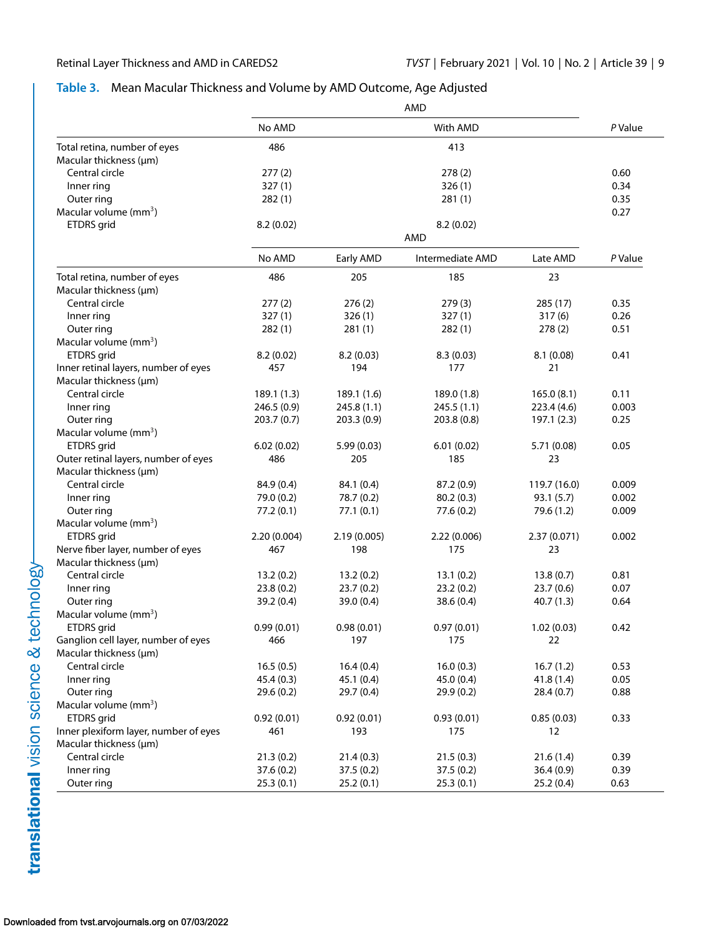### <span id="page-8-0"></span>**Table 3.** Mean Macular Thickness and Volume by AMD Outcome, Age Adjusted

|                                       |             |             | AMD                     |              |              |
|---------------------------------------|-------------|-------------|-------------------------|--------------|--------------|
|                                       | No AMD      |             | With AMD                |              | P Value      |
| Total retina, number of eyes          | 486         |             | 413                     |              |              |
| Macular thickness (µm)                |             |             |                         |              |              |
| Central circle                        | 277(2)      |             | 278(2)                  |              | 0.60<br>0.34 |
| Inner ring                            | 327(1)      |             | 326(1)                  |              |              |
| Outer ring<br>Macular volume $(mm3)$  | 282(1)      |             | 281(1)                  |              | 0.35<br>0.27 |
| ETDRS grid                            | 8.2(0.02)   |             |                         |              |              |
|                                       |             |             | 8.2(0.02)<br><b>AMD</b> |              |              |
|                                       | No AMD      | Early AMD   | Intermediate AMD        | Late AMD     | P Value      |
| Total retina, number of eyes          | 486         | 205         | 185                     | 23           |              |
| Macular thickness (µm)                |             |             |                         |              |              |
| Central circle                        | 277(2)      | 276(2)      | 279(3)                  | 285 (17)     | 0.35         |
| Inner ring                            | 327(1)      | 326(1)      | 327(1)                  | 317(6)       | 0.26         |
| Outer ring                            | 282(1)      | 281(1)      | 282(1)                  | 278(2)       | 0.51         |
| Macular volume $(mm3)$                |             |             |                         |              |              |
| ETDRS grid                            | 8.2(0.02)   | 8.2(0.03)   | 8.3(0.03)               | 8.1(0.08)    | 0.41         |
| Inner retinal layers, number of eyes  | 457         | 194         | 177                     | 21           |              |
| Macular thickness (µm)                |             |             |                         |              |              |
| Central circle                        | 189.1 (1.3) | 189.1 (1.6) | 189.0 (1.8)             | 165.0(8.1)   | 0.11         |
| Inner ring                            | 246.5(0.9)  | 245.8(1.1)  | 245.5(1.1)              | 223.4(4.6)   | 0.003        |
| Outer ring                            | 203.7(0.7)  | 203.3(0.9)  | 203.8(0.8)              | 197.1 (2.3)  | 0.25         |
| Macular volume $(mm3)$                |             |             |                         |              |              |
| ETDRS grid                            | 6.02(0.02)  | 5.99(0.03)  | 6.01(0.02)              | 5.71 (0.08)  | 0.05         |
| Outer retinal layers, number of eyes  | 486         | 205         | 185                     | 23           |              |
| Macular thickness (µm)                |             |             |                         |              |              |
| Central circle                        | 84.9 (0.4)  | 84.1 (0.4)  | 87.2 (0.9)              | 119.7 (16.0) | 0.009        |
| Inner ring                            | 79.0 (0.2)  | 78.7 (0.2)  | 80.2(0.3)               | 93.1(5.7)    | 0.002        |
| Outer ring                            | 77.2(0.1)   | 77.1(0.1)   | 77.6 (0.2)              | 79.6 (1.2)   | 0.009        |
| Macular volume (mm <sup>3</sup> )     |             |             |                         |              |              |
| ETDRS grid                            | 2.20(0.004) | 2.19(0.005) | 2.22(0.006)             | 2.37 (0.071) | 0.002        |
| Nerve fiber layer, number of eyes     | 467         | 198         | 175                     | 23           |              |
| Macular thickness (µm)                |             |             |                         |              |              |
| Central circle                        | 13.2(0.2)   | 13.2(0.2)   | 13.1(0.2)               | 13.8(0.7)    | 0.81         |
| Inner ring                            | 23.8(0.2)   | 23.7(0.2)   | 23.2(0.2)               | 23.7(0.6)    | 0.07         |
| Outer ring                            | 39.2 (0.4)  | 39.0(0.4)   | 38.6 (0.4)              | 40.7(1.3)    | 0.64         |
| Macular volume $(mm3)$                |             |             |                         |              |              |
| ETDRS grid                            | 0.99(0.01)  | 0.98(0.01)  | 0.97(0.01)              | 1.02(0.03)   | 0.42         |
| Ganglion cell layer, number of eyes   | 466         | 197         | 175                     | 22           |              |
| Macular thickness (µm)                |             |             |                         |              |              |
| Central circle                        | 16.5(0.5)   | 16.4(0.4)   | 16.0(0.3)               | 16.7(1.2)    | 0.53         |
| Inner ring                            | 45.4 (0.3)  | 45.1 (0.4)  | 45.0 (0.4)              | 41.8(1.4)    | 0.05         |
| Outer ring                            | 29.6(0.2)   | 29.7(0.4)   | 29.9(0.2)               | 28.4(0.7)    | 0.88         |
| Macular volume (mm <sup>3</sup> )     |             |             |                         |              |              |
| ETDRS grid                            | 0.92(0.01)  | 0.92(0.01)  | 0.93(0.01)              | 0.85(0.03)   | 0.33         |
| Inner plexiform layer, number of eyes | 461         | 193         | 175                     | 12           |              |
| Macular thickness (µm)                |             |             |                         |              |              |
| Central circle                        | 21.3(0.2)   | 21.4(0.3)   | 21.5(0.3)               | 21.6(1.4)    | 0.39         |
| Inner ring                            | 37.6 (0.2)  | 37.5(0.2)   | 37.5 (0.2)              | 36.4(0.9)    | 0.39         |
|                                       |             |             |                         |              |              |
| Outer ring                            | 25.3(0.1)   | 25.2(0.1)   | 25.3(0.1)               | 25.2(0.4)    | 0.63         |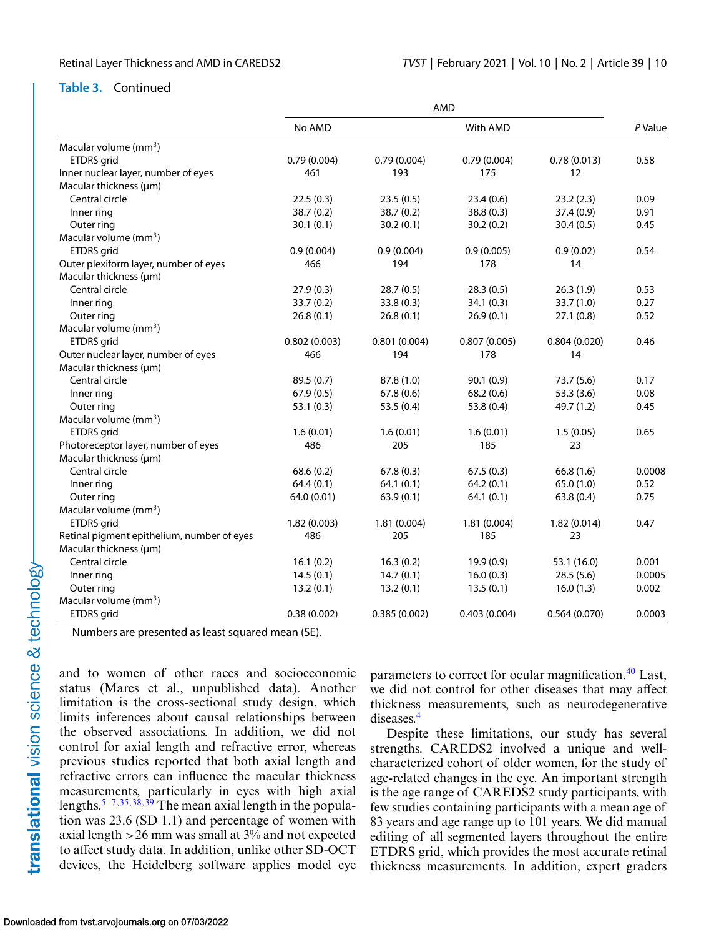#### **Table 3.** Continued

|                                            |              |              | <b>AMD</b>   |              |         |
|--------------------------------------------|--------------|--------------|--------------|--------------|---------|
|                                            | No AMD       |              | With AMD     |              | P Value |
| Macular volume (mm <sup>3</sup> )          |              |              |              |              |         |
| <b>ETDRS</b> grid                          | 0.79(0.004)  | 0.79(0.004)  | 0.79(0.004)  | 0.78(0.013)  | 0.58    |
| Inner nuclear layer, number of eyes        | 461          | 193          | 175          | 12           |         |
| Macular thickness (um)                     |              |              |              |              |         |
| Central circle                             | 22.5(0.3)    | 23.5(0.5)    | 23.4(0.6)    | 23.2(2.3)    | 0.09    |
| Inner ring                                 | 38.7(0.2)    | 38.7(0.2)    | 38.8(0.3)    | 37.4(0.9)    | 0.91    |
| Outer ring                                 | 30.1(0.1)    | 30.2(0.1)    | 30.2(0.2)    | 30.4(0.5)    | 0.45    |
| Macular volume (mm <sup>3</sup> )          |              |              |              |              |         |
| ETDRS grid                                 | 0.9(0.004)   | 0.9(0.004)   | 0.9(0.005)   | 0.9(0.02)    | 0.54    |
| Outer plexiform layer, number of eyes      | 466          | 194          | 178          | 14           |         |
| Macular thickness (µm)                     |              |              |              |              |         |
| Central circle                             | 27.9(0.3)    | 28.7(0.5)    | 28.3(0.5)    | 26.3(1.9)    | 0.53    |
| Inner ring                                 | 33.7(0.2)    | 33.8 (0.3)   | 34.1(0.3)    | 33.7 (1.0)   | 0.27    |
| Outer ring                                 | 26.8(0.1)    | 26.8(0.1)    | 26.9(0.1)    | 27.1(0.8)    | 0.52    |
| Macular volume (mm <sup>3</sup> )          |              |              |              |              |         |
| ETDRS grid                                 | 0.802(0.003) | 0.801(0.004) | 0.807(0.005) | 0.804(0.020) | 0.46    |
| Outer nuclear layer, number of eyes        | 466          | 194          | 178          | 14           |         |
| Macular thickness (µm)                     |              |              |              |              |         |
| Central circle                             | 89.5(0.7)    | 87.8 (1.0)   | 90.1(0.9)    | 73.7(5.6)    | 0.17    |
| Inner ring                                 | 67.9(0.5)    | 67.8(0.6)    | 68.2(0.6)    | 53.3(3.6)    | 0.08    |
| Outer ring                                 | 53.1(0.3)    | 53.5(0.4)    | 53.8(0.4)    | 49.7 (1.2)   | 0.45    |
| Macular volume (mm <sup>3</sup> )          |              |              |              |              |         |
| ETDRS grid                                 | 1.6(0.01)    | 1.6(0.01)    | 1.6(0.01)    | 1.5(0.05)    | 0.65    |
| Photoreceptor layer, number of eyes        | 486          | 205          | 185          | 23           |         |
| Macular thickness (µm)                     |              |              |              |              |         |
| Central circle                             | 68.6(0.2)    | 67.8(0.3)    | 67.5(0.3)    | 66.8(1.6)    | 0.0008  |
| Inner ring                                 | 64.4(0.1)    | 64.1(0.1)    | 64.2(0.1)    | 65.0(1.0)    | 0.52    |
| Outer ring                                 | 64.0 (0.01)  | 63.9(0.1)    | 64.1(0.1)    | 63.8(0.4)    | 0.75    |
| Macular volume (mm <sup>3</sup> )          |              |              |              |              |         |
| ETDRS grid                                 | 1.82(0.003)  | 1.81 (0.004) | 1.81(0.004)  | 1.82(0.014)  | 0.47    |
| Retinal pigment epithelium, number of eyes | 486          | 205          | 185          | 23           |         |
| Macular thickness (µm)                     |              |              |              |              |         |
| Central circle                             | 16.1(0.2)    | 16.3(0.2)    | 19.9(0.9)    | 53.1 (16.0)  | 0.001   |
| Inner ring                                 | 14.5(0.1)    | 14.7(0.1)    | 16.0(0.3)    | 28.5(5.6)    | 0.0005  |
| Outer ring                                 | 13.2(0.1)    | 13.2(0.1)    | 13.5(0.1)    | 16.0(1.3)    | 0.002   |
| Macular volume (mm <sup>3</sup> )          |              |              |              |              |         |
| ETDRS grid                                 | 0.38(0.002)  | 0.385(0.002) | 0.403(0.004) | 0.564(0.070) | 0.0003  |

Numbers are presented as least squared mean (SE).

and to women of other races and socioeconomic status (Mares et al., unpublished data). Another limitation is the cross-sectional study design, which limits inferences about causal relationships between the observed associations. In addition, we did not control for axial length and refractive error, whereas previous studies reported that both axial length and refractive errors can influence the macular thickness measurements, particularly in eyes with high axial lengths.<sup>5–7,[35,38,39](#page-13-0)</sup> The mean axial length in the population was 23.6 (SD 1.1) and percentage of women with axial length  $>$  26 mm was small at 3% and not expected to affect study data. In addition, unlike other SD-OCT devices, the Heidelberg software applies model eye

parameters to correct for ocular magnification.<sup>40</sup> Last, we did not control for other diseases that may affect thickness measurements, such as neurodegenerative diseases.[4](#page-11-0)

Despite these limitations, our study has several strengths. CAREDS2 involved a unique and wellcharacterized cohort of older women, for the study of age-related changes in the eye. An important strength is the age range of CAREDS2 study participants, with few studies containing participants with a mean age of 83 years and age range up to 101 years. We did manual editing of all segmented layers throughout the entire ETDRS grid, which provides the most accurate retinal thickness measurements. In addition, expert graders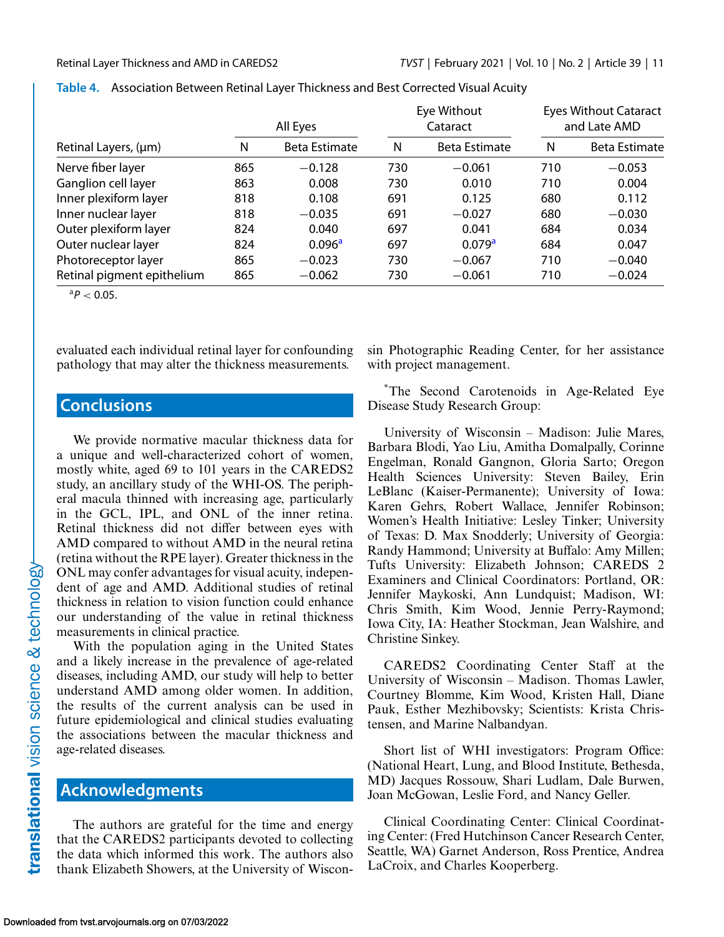|                            |     | All Eyes           |     | Eye Without<br>Cataract |     | <b>Eyes Without Cataract</b><br>and Late AMD |  |
|----------------------------|-----|--------------------|-----|-------------------------|-----|----------------------------------------------|--|
| Retinal Layers, (µm)       | N   | Beta Estimate      | N   | <b>Beta Estimate</b>    | N   | <b>Beta Estimate</b>                         |  |
| Nerve fiber layer          | 865 | $-0.128$           | 730 | $-0.061$                | 710 | $-0.053$                                     |  |
| Ganglion cell layer        | 863 | 0.008              | 730 | 0.010                   | 710 | 0.004                                        |  |
| Inner plexiform layer      | 818 | 0.108              | 691 | 0.125                   | 680 | 0.112                                        |  |
| Inner nuclear layer        | 818 | $-0.035$           | 691 | $-0.027$                | 680 | $-0.030$                                     |  |
| Outer plexiform layer      | 824 | 0.040              | 697 | 0.041                   | 684 | 0.034                                        |  |
| Outer nuclear layer        | 824 | 0.096 <sup>a</sup> | 697 | 0.079 <sup>a</sup>      | 684 | 0.047                                        |  |
| Photoreceptor layer        | 865 | $-0.023$           | 730 | $-0.067$                | 710 | $-0.040$                                     |  |
| Retinal pigment epithelium | 865 | $-0.062$           | 730 | $-0.061$                | 710 | $-0.024$                                     |  |

<span id="page-10-0"></span>

|  | Table 4. Association Between Retinal Layer Thickness and Best Corrected Visual Acuity |  |  |  |  |
|--|---------------------------------------------------------------------------------------|--|--|--|--|
|--|---------------------------------------------------------------------------------------|--|--|--|--|

 ${}^{a}P$  < 0.05.

evaluated each individual retinal layer for confounding pathology that may alter the thickness measurements.

# **Conclusions**

We provide normative macular thickness data for a unique and well-characterized cohort of women, mostly white, aged 69 to 101 years in the CAREDS2 study, an ancillary study of the WHI-OS. The peripheral macula thinned with increasing age, particularly in the GCL, IPL, and ONL of the inner retina. Retinal thickness did not differ between eyes with AMD compared to without AMD in the neural retina (retina without the RPE layer). Greater thickness in the ONL may confer advantages for visual acuity, independent of age and AMD. Additional studies of retinal thickness in relation to vision function could enhance our understanding of the value in retinal thickness measurements in clinical practice.

With the population aging in the United States and a likely increase in the prevalence of age-related diseases, including AMD, our study will help to better understand AMD among older women. In addition, the results of the current analysis can be used in future epidemiological and clinical studies evaluating the associations between the macular thickness and age-related diseases.

# **Acknowledgments**

The authors are grateful for the time and energy that the CAREDS2 participants devoted to collecting the data which informed this work. The authors also thank Elizabeth Showers, at the University of Wisconsin Photographic Reading Center, for her assistance with project management.

\*The Second Carotenoids in Age-Related Eye Disease Study Research Group:

University of Wisconsin – Madison: Julie Mares, Barbara Blodi, Yao Liu, Amitha Domalpally, Corinne Engelman, Ronald Gangnon, Gloria Sarto; Oregon Health Sciences University: Steven Bailey, Erin LeBlanc (Kaiser-Permanente); University of Iowa: Karen Gehrs, Robert Wallace, Jennifer Robinson; Women's Health Initiative: Lesley Tinker; University of Texas: D. Max Snodderly; University of Georgia: Randy Hammond; University at Buffalo: Amy Millen; Tufts University: Elizabeth Johnson; CAREDS 2 Examiners and Clinical Coordinators: Portland, OR: Jennifer Maykoski, Ann Lundquist; Madison, WI: Chris Smith, Kim Wood, Jennie Perry-Raymond; Iowa City, IA: Heather Stockman, Jean Walshire, and Christine Sinkey.

CAREDS2 Coordinating Center Staff at the University of Wisconsin – Madison. Thomas Lawler, Courtney Blomme, Kim Wood, Kristen Hall, Diane Pauk, Esther Mezhibovsky; Scientists: Krista Christensen, and Marine Nalbandyan.

Short list of WHI investigators: Program Office: (National Heart, Lung, and Blood Institute, Bethesda, MD) Jacques Rossouw, Shari Ludlam, Dale Burwen, Joan McGowan, Leslie Ford, and Nancy Geller.

Clinical Coordinating Center: Clinical Coordinating Center: (Fred Hutchinson Cancer Research Center, Seattle, WA) Garnet Anderson, Ross Prentice, Andrea LaCroix, and Charles Kooperberg.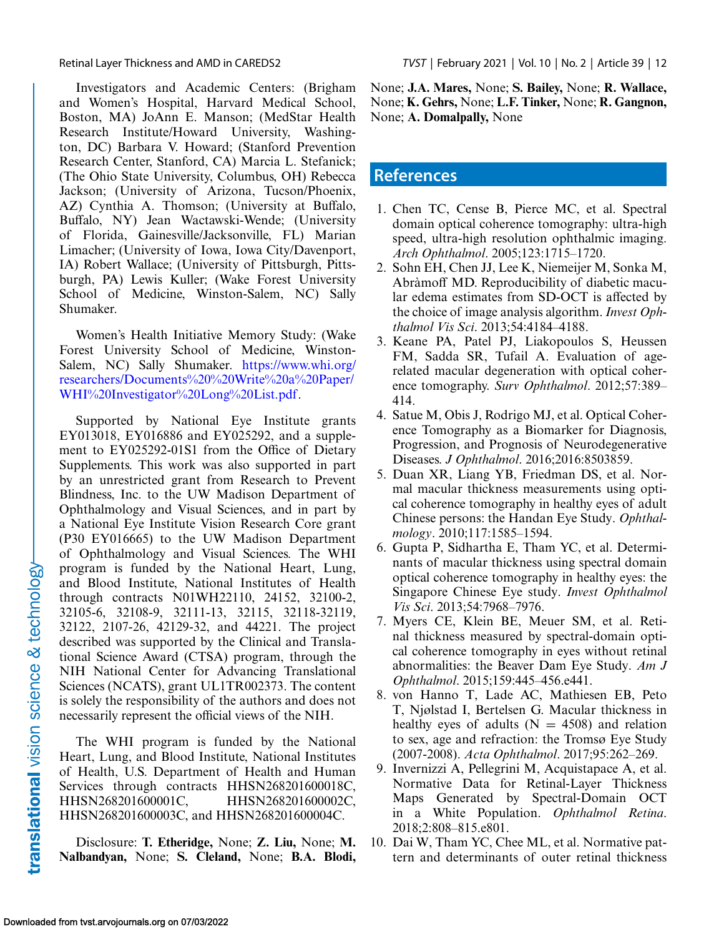<span id="page-11-0"></span>

Investigators and Academic Centers: (Brigham and Women's Hospital, Harvard Medical School, Boston, MA) JoAnn E. Manson; (MedStar Health Research Institute/Howard University, Washington, DC) Barbara V. Howard; (Stanford Prevention Research Center, Stanford, CA) Marcia L. Stefanick; (The Ohio State University, Columbus, OH) Rebecca Jackson; (University of Arizona, Tucson/Phoenix, AZ) Cynthia A. Thomson; (University at Buffalo, Buffalo, NY) Jean Wactawski-Wende; (University of Florida, Gainesville/Jacksonville, FL) Marian Limacher; (University of Iowa, Iowa City/Davenport, IA) Robert Wallace; (University of Pittsburgh, Pittsburgh, PA) Lewis Kuller; (Wake Forest University School of Medicine, Winston-Salem, NC) Sally Shumaker.

Women's Health Initiative Memory Study: (Wake Forest University School of Medicine, Winston-Salem, NC) Sally Shumaker. https://www.whi.org/ [researchers/Documents%20%20Write%20a%20Paper/](https://www.whi.org/researchers/Documents2020Write20a20Paper/WHI20Investigator20Long20List.pdf) WHI%20Investigator%20Long%20List.pdf.

Supported by National Eye Institute grants EY013018, EY016886 and EY025292, and a supplement to EY025292-01S1 from the Office of Dietary Supplements. This work was also supported in part by an unrestricted grant from Research to Prevent Blindness, Inc. to the UW Madison Department of Ophthalmology and Visual Sciences, and in part by a National Eye Institute Vision Research Core grant (P30 EY016665) to the UW Madison Department of Ophthalmology and Visual Sciences. The WHI program is funded by the National Heart, Lung, and Blood Institute, National Institutes of Health through contracts N01WH22110, 24152, 32100-2, 32105-6, 32108-9, 32111-13, 32115, 32118-32119, 32122, 2107-26, 42129-32, and 44221. The project described was supported by the Clinical and Translational Science Award (CTSA) program, through the NIH National Center for Advancing Translational Sciences (NCATS), grant UL1TR002373. The content is solely the responsibility of the authors and does not necessarily represent the official views of the NIH.

The WHI program is funded by the National Heart, Lung, and Blood Institute, National Institutes of Health, U.S. Department of Health and Human Services through contracts HHSN268201600018C, HHSN268201600001C, HHSN268201600002C, HHSN268201600003C, and HHSN268201600004C.

Disclosure: **T. Etheridge,** None; **Z. Liu,** None; **M. Nalbandyan,** None; **S. Cleland,** None; **B.A. Blodi,** None; **J.A. Mares,** None; **S. Bailey,** None; **R. Wallace,** None; **K. Gehrs,** None; **L.F. Tinker,** None; **R. Gangnon,** None; **A. Domalpally,** None

# **References**

- 1. Chen TC, Cense B, Pierce MC, et al. Spectral domain optical coherence tomography: ultra-high speed, ultra-high resolution ophthalmic imaging. *Arch Ophthalmol*. 2005;123:1715–1720.
- 2. Sohn EH, Chen JJ, Lee K, Niemeijer M, Sonka M, Abràmoff MD. Reproducibility of diabetic macular edema estimates from SD-OCT is affected by the choice of image analysis algorithm. *Invest Ophthalmol Vis Sci*. 2013;54:4184–4188.
- 3. Keane PA, Patel PJ, Liakopoulos S, Heussen FM, Sadda SR, Tufail A. Evaluation of agerelated macular degeneration with optical coherence tomography. *Surv Ophthalmol*. 2012;57:389– 414.
- 4. Satue M, Obis J, Rodrigo MJ, et al. Optical Coherence Tomography as a Biomarker for Diagnosis, Progression, and Prognosis of Neurodegenerative Diseases. *J Ophthalmol*. 2016;2016:8503859.
- 5. Duan XR, Liang YB, Friedman DS, et al. Normal macular thickness measurements using optical coherence tomography in healthy eyes of adult Chinese persons: the Handan Eye Study. *Ophthalmology*. 2010;117:1585–1594.
- 6. Gupta P, Sidhartha E, Tham YC, et al. Determinants of macular thickness using spectral domain optical coherence tomography in healthy eyes: the Singapore Chinese Eye study. *Invest Ophthalmol Vis Sci*. 2013;54:7968–7976.
- 7. Myers CE, Klein BE, Meuer SM, et al. Retinal thickness measured by spectral-domain optical coherence tomography in eyes without retinal abnormalities: the Beaver Dam Eye Study. *Am J Ophthalmol*. 2015;159:445–456.e441.
- 8. von Hanno T, Lade AC, Mathiesen EB, Peto T, Njølstad I, Bertelsen G. Macular thickness in healthy eyes of adults ( $N = 4508$ ) and relation to sex, age and refraction: the Tromsø Eye Study (2007-2008). *Acta Ophthalmol*. 2017;95:262–269.
- 9. Invernizzi A, Pellegrini M, Acquistapace A, et al. Normative Data for Retinal-Layer Thickness Maps Generated by Spectral-Domain OCT in a White Population. *Ophthalmol Retina*. 2018;2:808–815.e801.
- 10. Dai W, Tham YC, Chee ML, et al. Normative pattern and determinants of outer retinal thickness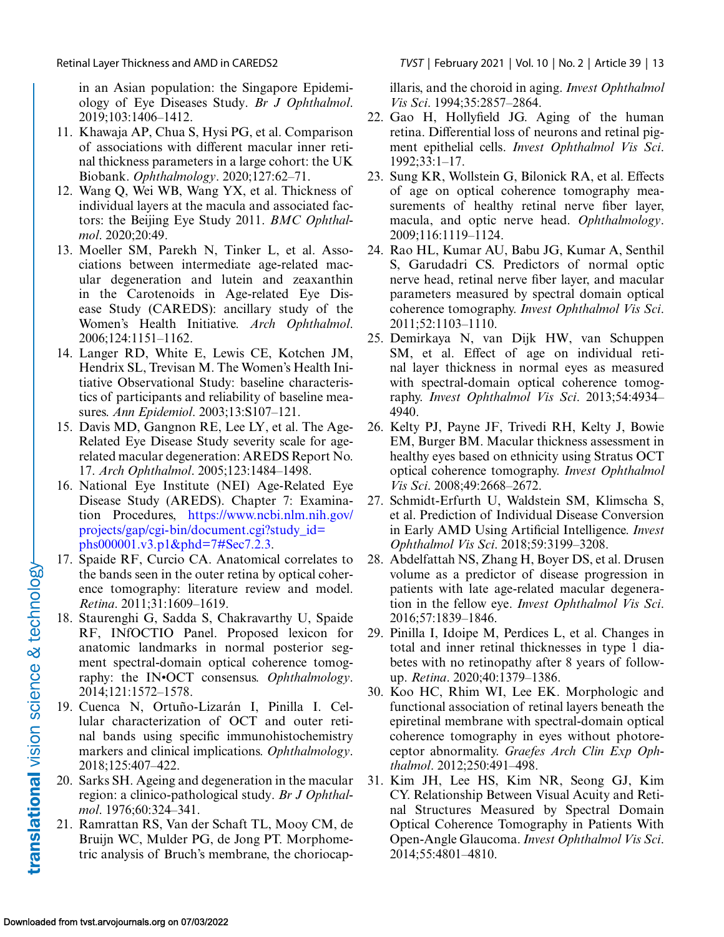in an Asian population: the Singapore Epidemiology of Eye Diseases Study. *Br J Ophthalmol*. 2019;103:1406–1412.

- 11. Khawaja AP, Chua S, Hysi PG, et al. Comparison of associations with different macular inner retinal thickness parameters in a large cohort: the UK Biobank. *Ophthalmology*. 2020;127:62–71.
- 12. Wang Q, Wei WB, Wang YX, et al. Thickness of individual layers at the macula and associated factors: the Beijing Eye Study 2011. *BMC Ophthalmol*. 2020;20:49.
- 13. Moeller SM, Parekh N, Tinker L, et al. Associations between intermediate age-related macular degeneration and lutein and zeaxanthin in the Carotenoids in Age-related Eye Disease Study (CAREDS): ancillary study of the Women's Health Initiative. *Arch Ophthalmol*. 2006;124:1151–1162.
- 14. Langer RD, White E, Lewis CE, Kotchen JM, Hendrix SL, Trevisan M. The Women's Health Initiative Observational Study: baseline characteristics of participants and reliability of baseline measures. *Ann Epidemiol*. 2003;13:S107–121.
- 15. Davis MD, Gangnon RE, Lee LY, et al. The Age-Related Eye Disease Study severity scale for agerelated macular degeneration: AREDS Report No. 17. *Arch Ophthalmol*. 2005;123:1484–1498.
- 16. National Eye Institute (NEI) Age-Related Eye Disease Study (AREDS). Chapter 7: Examination Procedures, https://www.ncbi.nlm.nih.gov/ [projects/gap/cgi-bin/document.cgi?study\\_id=](https://www.ncbi.nlm.nih.gov/projects/gap/cgi-bin/document.cgi?study10id10phs000001.v3.p1&phd107#Sec7.2.3) phs000001.v3.p1&phd=7#Sec7.2.3.
- 17. Spaide RF, Curcio CA. Anatomical correlates to the bands seen in the outer retina by optical coherence tomography: literature review and model. *Retina*. 2011;31:1609–1619.
- 18. Staurenghi G, Sadda S, Chakravarthy U, Spaide RF, INfOCTIO Panel. Proposed lexicon for anatomic landmarks in normal posterior segment spectral-domain optical coherence tomography: the IN•OCT consensus. *Ophthalmology*. 2014;121:1572–1578.
- 19. Cuenca N, Ortuño-Lizarán I, Pinilla I. Cellular characterization of OCT and outer retinal bands using specific immunohistochemistry markers and clinical implications. *Ophthalmology*. 2018;125:407–422.
- 20. Sarks SH. Ageing and degeneration in the macular region: a clinico-pathological study. *Br J Ophthalmol*. 1976;60:324–341.
- 21. Ramrattan RS, Van der Schaft TL, Mooy CM, de Bruijn WC, Mulder PG, de Jong PT. Morphometric analysis of Bruch's membrane, the choriocap-

<span id="page-12-0"></span>Retinal Layer Thickness and AMD in CAREDS2 *TVST* | February 2021 | Vol. 10 | No. 2 | Article 39 | 13

illaris, and the choroid in aging. *Invest Ophthalmol Vis Sci*. 1994;35:2857–2864.

- 22. Gao H, Hollyfield JG. Aging of the human retina. Differential loss of neurons and retinal pigment epithelial cells. *Invest Ophthalmol Vis Sci*. 1992;33:1–17.
- 23. Sung KR, Wollstein G, Bilonick RA, et al. Effects of age on optical coherence tomography measurements of healthy retinal nerve fiber layer, macula, and optic nerve head. *Ophthalmology*. 2009;116:1119–1124.
- 24. Rao HL, Kumar AU, Babu JG, Kumar A, Senthil S, Garudadri CS. Predictors of normal optic nerve head, retinal nerve fiber layer, and macular parameters measured by spectral domain optical coherence tomography. *Invest Ophthalmol Vis Sci*. 2011;52:1103–1110.
- 25. Demirkaya N, van Dijk HW, van Schuppen SM, et al. Effect of age on individual retinal layer thickness in normal eyes as measured with spectral-domain optical coherence tomography. *Invest Ophthalmol Vis Sci*. 2013;54:4934– 4940.
- 26. Kelty PJ, Payne JF, Trivedi RH, Kelty J, Bowie EM, Burger BM. Macular thickness assessment in healthy eyes based on ethnicity using Stratus OCT optical coherence tomography. *Invest Ophthalmol Vis Sci*. 2008;49:2668–2672.
- 27. Schmidt-Erfurth U, Waldstein SM, Klimscha S, et al. Prediction of Individual Disease Conversion in Early AMD Using Artificial Intelligence. *Invest Ophthalmol Vis Sci*. 2018;59:3199–3208.
- 28. Abdelfattah NS, Zhang H, Boyer DS, et al. Drusen volume as a predictor of disease progression in patients with late age-related macular degeneration in the fellow eye. *Invest Ophthalmol Vis Sci*. 2016;57:1839–1846.
- 29. Pinilla I, Idoipe M, Perdices L, et al. Changes in total and inner retinal thicknesses in type 1 diabetes with no retinopathy after 8 years of followup. *Retina*. 2020;40:1379–1386.
- 30. Koo HC, Rhim WI, Lee EK. Morphologic and functional association of retinal layers beneath the epiretinal membrane with spectral-domain optical coherence tomography in eyes without photoreceptor abnormality. *Graefes Arch Clin Exp Ophthalmol*. 2012;250:491–498.
- 31. Kim JH, Lee HS, Kim NR, Seong GJ, Kim CY. Relationship Between Visual Acuity and Retinal Structures Measured by Spectral Domain Optical Coherence Tomography in Patients With Open-Angle Glaucoma. *Invest Ophthalmol Vis Sci*. 2014;55:4801–4810.